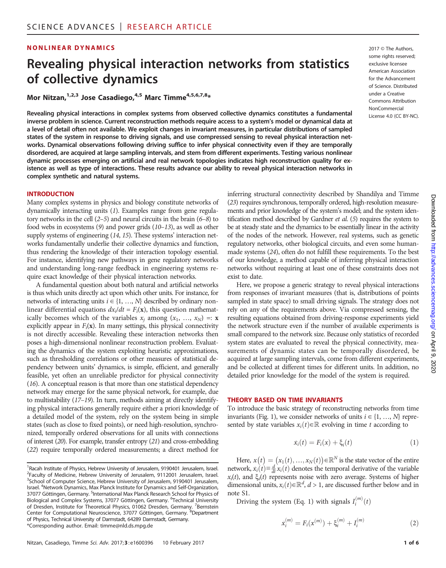### **NONLINEAR DYNAMICS** 2017 © The Authors,

# Revealing physical interaction networks from statistics of collective dynamics

Mor Nitzan,  $1,2,3$  Jose Casadiego,  $4,5$  Marc Timme  $4,5,6,7,8*$ 

Revealing physical interactions in complex systems from observed collective dynamics constitutes a fundamental inverse problem in science. Current reconstruction methods require access to a system's model or dynamical data at a level of detail often not available. We exploit changes in invariant measures, in particular distributions of sampled states of the system in response to driving signals, and use compressed sensing to reveal physical interaction networks. Dynamical observations following driving suffice to infer physical connectivity even if they are temporally disordered, are acquired at large sampling intervals, and stem from different experiments. Testing various nonlinear dynamic processes emerging on artificial and real network topologies indicates high reconstruction quality for existence as well as type of interactions. These results advance our ability to reveal physical interaction networks in complex synthetic and natural systems.

#### INTRODUCTION

Many complex systems in physics and biology constitute networks of dynamically interacting units (1). Examples range from gene regulatory networks in the cell (2–5) and neural circuits in the brain (6–8) to food webs in ecosystems (9) and power grids (10–13), as well as other supply systems of engineering (14, 15). These systems' interaction networks fundamentally underlie their collective dynamics and function, thus rendering the knowledge of their interaction topology essential. For instance, identifying new pathways in gene regulatory networks and understanding long-range feedback in engineering systems require exact knowledge of their physical interaction networks.

A fundamental question about both natural and artificial networks is thus which units directly act upon which other units. For instance, for networks of interacting units  $i \in \{1, ..., N\}$  described by ordinary nonlinear differential equations  $dx_i/dt = F_i(\mathbf{x})$ , this question mathematically becomes which of the variables  $x_i$  among  $(x_1, ..., x_N) =: x$ explicitly appear in  $F_i(\mathbf{x})$ . In many settings, this physical connectivity is not directly accessible. Revealing these interaction networks then poses a high-dimensional nonlinear reconstruction problem. Evaluating the dynamics of the system exploiting heuristic approximations, such as thresholding correlations or other measures of statistical dependency between units' dynamics, is simple, efficient, and generally feasible, yet often an unreliable predictor for physical connectivity (16). A conceptual reason is that more than one statistical dependency network may emerge for the same physical network, for example, due to multistability (17–19). In turn, methods aiming at directly identifying physical interactions generally require either a priori knowledge of a detailed model of the system, rely on the system being in simple states (such as close to fixed points), or need high-resolution, synchronized, temporally ordered observations for all units with connections of interest (20). For example, transfer entropy (21) and cross-embedding (22) require temporally ordered measurements; a direct method for

some rights reserved; exclusive licensee American Association for the Advancement of Science. Distributed under a Creative Commons Attribution NonCommercial License 4.0 (CC BY-NC).

inferring structural connectivity described by Shandilya and Timme (23) requires synchronous, temporally ordered, high-resolution measurements and prior knowledge of the system's model; and the system identification method described by Gardner et al. (5) requires the system to be at steady state and the dynamics to be essentially linear in the activity of the nodes of the network. However, real systems, such as genetic regulatory networks, other biological circuits, and even some humanmade systems (24), often do not fulfill these requirements. To the best of our knowledge, a method capable of inferring physical interaction networks without requiring at least one of these constraints does not exist to date.

Here, we propose a generic strategy to reveal physical interactions from responses of invariant measures (that is, distributions of points sampled in state space) to small driving signals. The strategy does not rely on any of the requirements above. Via compressed sensing, the resulting equations obtained from driving-response experiments yield the network structure even if the number of available experiments is small compared to the network size. Because only statistics of recorded system states are evaluated to reveal the physical connectivity, measurements of dynamic states can be temporally disordered, be acquired at large sampling intervals, come from different experiments, and be collected at different times for different units. In addition, no detailed prior knowledge for the model of the system is required.

#### THEORY BASED ON TIME INVARIANTS

To introduce the basic strategy of reconstructing networks from time invariants (Fig. 1), we consider networks of units  $i \in \{1, ..., N\}$  represented by state variables  $x_i(t) \in \mathbb{R}$  evolving in time t according to

$$
\dot{x}_i(t) = F_i(x) + \xi_i(t) \tag{1}
$$

Here,  $x(t) = (x_1(t), ..., x_N(t)) \in \mathbb{R}^N$  is the state vector of the entire network,  $x_i(t) \equiv \frac{d}{dt} x_i(t)$  denotes the temporal derivative of the variable  $x_i(t)$ , and  $\xi_i(t)$  represents noise with zero average. Systems of higher dimensional units,  $x_i(t) \in \mathbb{R}^d$ ,  $d > 1$ , are discussed further below and in note S1.

Driving the system (Eq. 1) with signals  $I_i^{(m)}(t)$ 

$$
\dot{x}_i^{(m)} = F_i(x^{(m)}) + \xi_i^{(m)} + I_i^{(m)}
$$
\n(2)

<sup>&</sup>lt;sup>1</sup> Racah Institute of Physics, Hebrew University of Jerusalem, 9190401 Jerusalem, Israel.<br><sup>2</sup> Faculty of Modicing, Hebrew University of Jerusalem, 9112001 Jerusalem, Israel. <sup>2</sup>Faculty of Medicine, Hebrew University of Jerusalem, 9112001 Jerusalem, Israel. <sup>3</sup>School of Computer Science, Hebrew University of Jerusalem, 9190401 Jerusalem, Israel. <sup>4</sup> Network Dynamics, Max Planck Institute for Dynamics and Self-Organization, 37077 Göttingen, Germany. <sup>5</sup>International Max Planck Research School for Physics of Biological and Complex Systems, 37077 Göttingen, Germany. <sup>6</sup>Technical University of Dresden, Institute for Theoretical Physics, 01062 Dresden, Germany. <sup>7</sup>Bernstein Center for Computational Neuroscience, 37077 Göttingen, Germany. <sup>8</sup>Department of Physics, Technical University of Darmstadt, 64289 Darmstadt, Germany. \*Corresponding author. Email: timme@nld.ds.mpg.de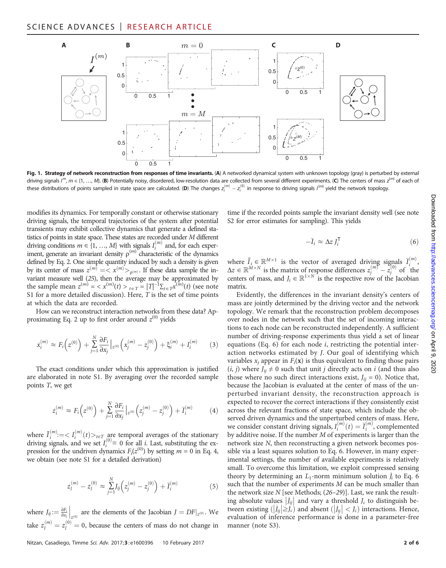

Fig. 1. Strategy of network reconstruction from responses of time invariants. (A) A networked dynamical system with unknown topology (gray) is perturbed by external driving signals I<sup>m</sup>, m  $\in$  {1, ..., M}. (B) Potentially noisy, disordered, low-resolution data are collected from several different experiments. (C) The centers of mass z<sup>(m)</sup> of each of these distributions of points sampled in state space are calculated. (**D**) The changes  $z_i^{(m)} - z_i^{(0)}$  in response to driving signals  $I^{(m)}$  yield the network topology.

modifies its dynamics. For temporally constant or otherwise stationary driving signals, the temporal trajectories of the system after potential transients may exhibit collective dynamics that generate a defined statistics of points in state space. These states are recorded under M different driving conditions  $m \in \{1, ..., M\}$  with signals  $I_i^{(m)}$  and, for each experiment, generate an invariant density  $\rho^{(m)}$  characteristic of the dynamics defined by Eq. 2. One simple quantity induced by such a density is given by its center of mass  $z^{(m)} = \langle x^{(m)} \rangle_{\mathsf{p}^{(m)}}$ . If these data sample the invariant measure well (25), then the average may be approximated by the sample mean  $z^{(m)} = \langle x^{(m)}(t) \rangle_{t \in T} = |T|^{-1} \Sigma_{t \in T} x^{(m)}(t)$  (see note S1 for a more detailed discussion). Here,  $T$  is the set of time points at which the data are recorded.

How can we reconstruct interaction networks from these data? Approximating Eq. 2 up to first order around  $z^{(0)}$  yields

$$
\dot{x}_i^{(m)} \approx F_i\left(z^{(0)}\right) + \sum_{j=1}^N \frac{\partial F_i}{\partial x_j}\Big|_{z^{(0)}} \left(x_j^{(m)} - z_j^{(0)}\right) + \xi_i^{(m)} + I_i^{(m)} \tag{3}
$$

The exact conditions under which this approximation is justified are elaborated in note S1. By averaging over the recorded sample points T, we get

$$
\dot{z}_i^{(m)} \approx F_i\left(z^{(0)}\right) + \sum_{j=1}^N \frac{\partial F_i}{\partial x_j} \Big|_{z^{(0)}} \left(z_j^{(m)} - z_j^{(0)}\right) + \bar{I}_i^{(m)} \tag{4}
$$

where  $\overline{I}_i^{(m)} := \langle I_i^{(m)}(t) \rangle_{t \in T}$  are temporal averages of the stationary driving signals, and we set  $I_i^{(0)} \equiv 0$  for all *i*. Last, substituting the expression for the undriven dynamics  $F_i(z^{(0)})$  by setting  $m = 0$  in Eq. 4, we obtain (see note S1 for a detailed derivation)

$$
\dot{z}_l^{(m)} - \dot{z}_l^{(0)} \approx \sum_{j=1}^N J_{ij} \left( z_j^{(m)} - z_j^{(0)} \right) + \bar{I}_i^{(m)} \tag{5}
$$

where  $J_{ij} := \frac{\partial F_i}{\partial x_j}\Big|_{z^{(0)}}$  are the elements of the Jacobian  $J = DF|_{z^{(0)}}$ . We take  $z_l^{(m)} = z_l^{(0)} = 0$ , because the centers of mass do not change in

 $\sum_{i=1}^{n}$  (6) where  $\overline{I}_i \in \mathbb{R}^{M \times 1}$  is the vector of averaged driving signals  $\overline{I}_i^{(m)}$ ,  $\Delta z \in \mathbb{R}^{M \times N}$  is the matrix of response differences  $z_j^{(m)} - z_j^{(0)}$  of the centers of mass, and  $J_i \in \mathbb{R}^{1 \times N}$  is the respective row of the Jacobian

matrix. Evidently, the differences in the invariant density's centers of mass are jointly determined by the driving vector and the network topology. We remark that the reconstruction problem decomposes over nodes in the network such that the set of incoming interactions to each node can be reconstructed independently. A sufficient number of driving-response experiments thus yield a set of linear equations (Eq. 6) for each node i, restricting the potential interaction networks estimated by J. Our goal of identifying which variables  $x_i$  appear in  $F_i(\mathbf{x})$  is thus equivalent to finding those pairs  $(i, j)$  where  $J_{ii} \neq 0$  such that unit j directly acts on i (and thus also those where no such direct interactions exist,  $J_{ij} = 0$ ). Notice that, because the Jacobian is evaluated at the center of mass of the unperturbed invariant density, the reconstruction approach is expected to recover the correct interactions if they consistently exist across the relevant fractions of state space, which include the observed driven dynamics and the unperturbed centers of mass. Here, we consider constant driving signals,  $I_i^{(m)}(t) = \overline{I}_i^{(m)}$ , complemented by additive noise. If the number M of experiments is larger than the network size N, then reconstructing a given network becomes possible via a least squares solution to Eq. 6. However, in many experimental settings, the number of available experiments is relatively small. To overcome this limitation, we exploit compressed sensing theory by determining an  $L_1$ -norm minimum solution  $\hat{J}_i$  to Eq. 6 such that the number of experiments M can be much smaller than the network size  $N$  [see Methods;  $(26-29)$ ]. Last, we rank the resulting absolute values  $\left| \hat{J}_{ij} \right|$  and vary a threshold  $J_c$  to distinguish between existing  $(|\hat{J}_{ij}| \geq J_c)$  and absent  $(|\hat{J}_{ij}| < J_c)$  interactions. Hence, evaluation of inference performance is done in a parameter-free manner (note S3).

time if the recorded points sample the invariant density well (see note

 $-\overline{I}_i \approx \Delta z J_i^{\mathsf{T}}$ 

S2 for error estimates for sampling). This yields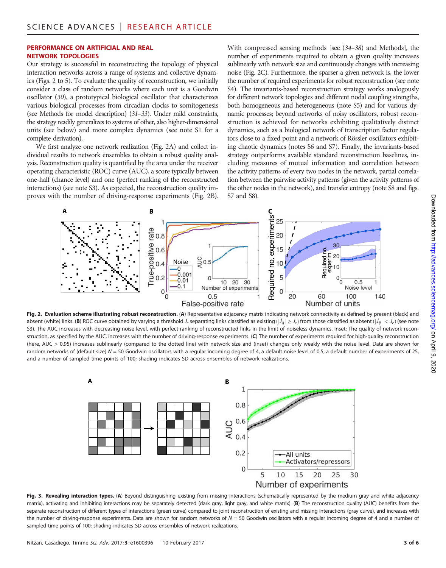#### PERFORMANCE ON ARTIFICIAL AND REAL NETWORK TOPOLOGIES

Our strategy is successful in reconstructing the topology of physical interaction networks across a range of systems and collective dynamics (Figs. 2 to 5). To evaluate the quality of reconstruction, we initially consider a class of random networks where each unit is a Goodwin oscillator (30), a prototypical biological oscillator that characterizes various biological processes from circadian clocks to somitogenesis (see Methods for model description) (31–33). Under mild constraints, the strategy readily generalizes to systems of other, also higher-dimensional units (see below) and more complex dynamics (see note S1 for a complete derivation).

We first analyze one network realization (Fig. 2A) and collect individual results to network ensembles to obtain a robust quality analysis. Reconstruction quality is quantified by the area under the receiver operating characteristic (ROC) curve (AUC), a score typically between one-half (chance level) and one (perfect ranking of the reconstructed interactions) (see note S3). As expected, the reconstruction quality improves with the number of driving-response experiments (Fig. 2B). With compressed sensing methods [see (34–38) and Methods], the number of experiments required to obtain a given quality increases sublinearly with network size and continuously changes with increasing noise (Fig. 2C). Furthermore, the sparser a given network is, the lower the number of required experiments for robust reconstruction (see note S4). The invariants-based reconstruction strategy works analogously for different network topologies and different nodal coupling strengths, both homogeneous and heterogeneous (note S5) and for various dynamic processes; beyond networks of noisy oscillators, robust reconstruction is achieved for networks exhibiting qualitatively distinct dynamics, such as a biological network of transcription factor regulators close to a fixed point and a network of Rössler oscillators exhibiting chaotic dynamics (notes S6 and S7). Finally, the invariants-based strategy outperforms available standard reconstruction baselines, including measures of mutual information and correlation between the activity patterns of every two nodes in the network, partial correlation between the pairwise activity patterns (given the activity patterns of the other nodes in the network), and transfer entropy (note S8 and figs. S7 and S8).



Fig. 2. Evaluation scheme illustrating robust reconstruction. (A) Representative adjacency matrix indicating network connectivity as defined by present (black) and absent (white) links. (**B**) ROC curve obtained by varying a threshold J<sub>c</sub> separating links classified as existing ( $|\hat{J}_{ij}| \geq J_c$ ) from those classified as absent ( $|\hat{J}_{ij}| < J_c$ ) (see note S3). The AUC increases with decreasing noise level, with perfect ranking of reconstructed links in the limit of noiseless dynamics. Inset: The quality of network reconstruction, as specified by the AUC, increases with the number of driving-response experiments. (C) The number of experiments required for high-quality reconstruction (here, AUC > 0.95) increases sublinearly (compared to the dotted line) with network size and (inset) changes only weakly with the noise level. Data are shown for random networks of (default size) N = 50 Goodwin oscillators with a regular incoming degree of 4, a default noise level of 0.5, a default number of experiments of 25, and a number of sampled time points of 100; shading indicates SD across ensembles of network realizations.



Fig. 3. Revealing interaction types. (A) Beyond distinguishing existing from missing interactions (schematically represented by the medium gray and white adjacency matrix), activating and inhibiting interactions may be separately detected (dark gray, light gray, and white matrix). (B) The reconstruction quality (AUC) benefits from the separate reconstruction of different types of interactions (green curve) compared to joint reconstruction of existing and missing interactions (gray curve), and increases with the number of driving-response experiments. Data are shown for random networks of  $N = 50$  Goodwin oscillators with a regular incoming degree of 4 and a number of sampled time points of 100; shading indicates SD across ensembles of network realizations.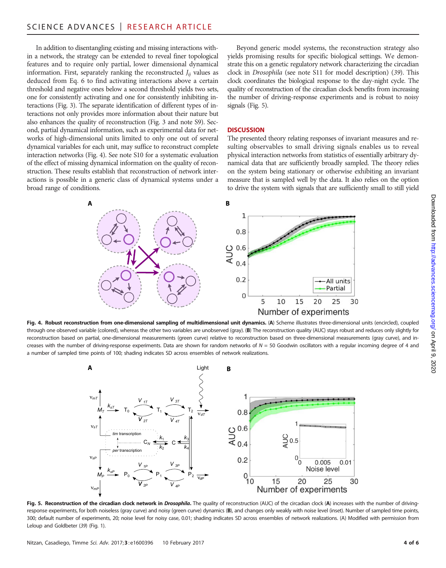In addition to disentangling existing and missing interactions within a network, the strategy can be extended to reveal finer topological features and to require only partial, lower dimensional dynamical information. First, separately ranking the reconstructed  $J_{ii}$  values as deduced from Eq. 6 to find activating interactions above a certain threshold and negative ones below a second threshold yields two sets, one for consistently activating and one for consistently inhibiting interactions (Fig. 3). The separate identification of different types of interactions not only provides more information about their nature but also enhances the quality of reconstruction (Fig. 3 and note S9). Second, partial dynamical information, such as experimental data for networks of high-dimensional units limited to only one out of several dynamical variables for each unit, may suffice to reconstruct complete interaction networks (Fig. 4). See note S10 for a systematic evaluation of the effect of missing dynamical information on the quality of reconstruction. These results establish that reconstruction of network interactions is possible in a generic class of dynamical systems under a broad range of conditions.

Beyond generic model systems, the reconstruction strategy also yields promising results for specific biological settings. We demonstrate this on a genetic regulatory network characterizing the circadian clock in Drosophila (see note S11 for model description) (39). This clock coordinates the biological response to the day-night cycle. The quality of reconstruction of the circadian clock benefits from increasing the number of driving-response experiments and is robust to noisy signals (Fig. 5).

#### **DISCUSSION**

The presented theory relating responses of invariant measures and resulting observables to small driving signals enables us to reveal physical interaction networks from statistics of essentially arbitrary dynamical data that are sufficiently broadly sampled. The theory relies on the system being stationary or otherwise exhibiting an invariant measure that is sampled well by the data. It also relies on the option to drive the system with signals that are sufficiently small to still yield



Fig. 4. Robust reconstruction from one-dimensional sampling of multidimensional unit dynamics. (A) Scheme illustrates three-dimensional units (encircled), coupled through one observed variable (colored), whereas the other two variables are unobserved (gray). (B) The reconstruction quality (AUC) stays robust and reduces only slightly for reconstruction based on partial, one-dimensional measurements (green curve) relative to reconstruction based on three-dimensional measurements (gray curve), and increases with the number of driving-response experiments. Data are shown for random networks of  $N = 50$  Goodwin oscillators with a regular incoming degree of 4 and a number of sampled time points of 100; shading indicates SD across ensembles of network realizations.



Fig. 5. Reconstruction of the circadian clock network in Drosophila. The quality of reconstruction (AUC) of the circadian clock (A) increases with the number of drivingresponse experiments, for both noiseless (gray curve) and noisy (green curve) dynamics (B), and changes only weakly with noise level (inset). Number of sampled time points, 300; default number of experiments, 20; noise level for noisy case, 0.01; shading indicates SD across ensembles of network realizations. (A) Modified with permission from Leloup and Goldbeter (39) (Fig. 1).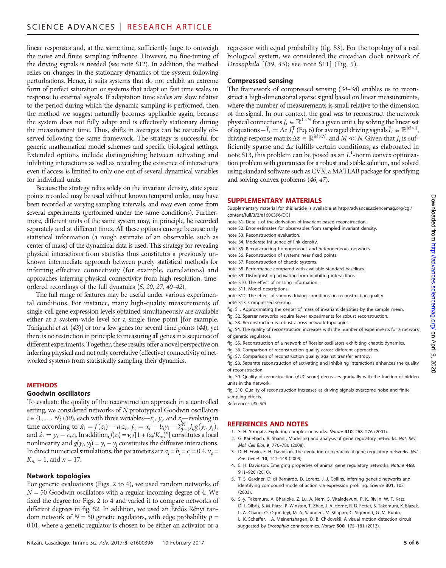linear responses and, at the same time, sufficiently large to outweigh the noise and finite sampling influence. However, no fine-tuning of the driving signals is needed (see note S12). In addition, the method relies on changes in the stationary dynamics of the system following perturbations. Hence, it suits systems that do not exhibit an extreme form of perfect saturation or systems that adapt on fast time scales in response to external signals. If adaptation time scales are slow relative to the period during which the dynamic sampling is performed, then the method we suggest naturally becomes applicable again, because the system does not fully adapt and is effectively stationary during the measurement time. Thus, shifts in averages can be naturally observed following the same framework. The strategy is successful for generic mathematical model schemes and specific biological settings. Extended options include distinguishing between activating and inhibiting interactions as well as revealing the existence of interactions even if access is limited to only one out of several dynamical variables for individual units.

Because the strategy relies solely on the invariant density, state space points recorded may be used without known temporal order, may have been recorded at varying sampling intervals, and may even come from several experiments (performed under the same conditions). Furthermore, different units of the same system may, in principle, be recorded separately and at different times. All these options emerge because only statistical information (a rough estimate of an observable, such as center of mass) of the dynamical data is used. This strategy for revealing physical interactions from statistics thus constitutes a previously unknown intermediate approach between purely statistical methods for inferring effective connectivity (for example, correlations) and approaches inferring physical connectivity from high-resolution, timeordered recordings of the full dynamics (5, 20, 27, 40–42).

The full range of features may be useful under various experimental conditions. For instance, many high-quality measurements of single-cell gene expression levels obtained simultaneously are available either at a system-wide level for a single time point [for example, Taniguchi et al. (43)] or for a few genes for several time points (44), yet there is no restriction in principle to measuring all genes in a sequence of different experiments. Together, these results offer a novel perspective on inferring physical and not only correlative (effective) connectivity of networked systems from statistically sampling their dynamics.

#### **METHODS**

#### Goodwin oscillators

To evaluate the quality of the reconstruction approach in a controlled setting, we considered networks of N prototypical Goodwin oscillators  $i \in \{1, ..., N\}$  (30), each with three variables— $x_i$ ,  $y_i$ , and  $z_i$ —evolving in time according to  $\dot{x}_i = f(z_i) - a_i z_i$ ,  $\dot{y}_i = x_i - b_i y_i - \sum_{j=1}^N J_{ij} g(y_i, y_j)$ , and  $z_i = y_i - c_i z_i$ . In addition,  $f(z_i) = v_o/[1 + (z_i/K_m)^n]$  constitutes a local nonlinearity and  $g(y_i, y_j) = y_i - y_j$  constitutes the diffusive interactions. In direct numerical simulations, the parameters are  $a_i = b_i = c_i = 0.4$ ,  $v_o =$  $K_m = 1$ , and  $n = 17$ .

#### Network topologies

For generic evaluations (Figs. 2 to 4), we used random networks of  $N = 50$  Goodwin oscillators with a regular incoming degree of 4. We fixed the degree for Figs. 2 to 4 and varied it to compare networks of different degrees in fig. S2. In addition, we used an Erdős Rényi random network of  $N = 50$  genetic regulators, with edge probability  $p =$ 0.01, where a genetic regulator is chosen to be either an activator or a

repressor with equal probability (fig. S3). For the topology of a real biological system, we considered the circadian clock network of Drosophila [(39, 45); see note S11] (Fig. 5).

#### Compressed sensing

The framework of compressed sensing (34–38) enables us to reconstruct a high-dimensional sparse signal based on linear measurements, where the number of measurements is small relative to the dimension of the signal. In our context, the goal was to reconstruct the network physical connections  $J_i \in \mathbb{R}^{1 \times N}$  for a given unit *i*, by solving the linear set of equations  $-\overline{I}_i = \Delta z I_i^{\mathsf{T}}$  (Eq. 6) for averaged driving signals  $\overline{I}_i \in \mathbb{R}^{M \times 1}$ , driving-response matrix  $\Delta z \in \mathbb{R}^{M \times N}$ , and  $M \ll N$ . Given that  $J_i$  is sufficiently sparse and  $\Delta z$  fulfills certain conditions, as elaborated in note S13, this problem can be posed as an  $L^1$ -norm convex optimization problem with guarantees for a robust and stable solution, and solved using standard software such as CVX, a MATLAB package for specifying and solving convex problems (46, 47).

#### SUPPLEMENTARY MATERIALS

Supplementary material for this article is available at [http://advances.sciencemag.org/cgi/](http://advances.sciencemag.org/cgi/content/full/3/2/e1600396/DC1) [content/full/3/2/e1600396/DC1](http://advances.sciencemag.org/cgi/content/full/3/2/e1600396/DC1)

- note S1. Details of the derivation of invariant-based reconstruction.
- note S2. Error estimates for observables from sampled invariant density.
- note S3. Reconstruction evaluation.
- note S4. Moderate influence of link density.
- note S5. Reconstructing homogeneous and heterogeneous networks.
- note S6. Reconstruction of systems near fixed points.
- note S7. Reconstruction of chaotic systems.
- note S8. Performance compared with available standard baselines.
- note S9. Distinguishing activating from inhibiting interactions.
- note S10. The effect of missing information.
- note S11. Model descriptions.
- note S12. The effect of various driving conditions on reconstruction quality.
- note S13. Compressed sensing.
- fig. S1. Approximating the center of mass of invariant densities by the sample mean.
- fig. S2. Sparser networks require fewer experiments for robust reconstruction.
- fig. S3. Reconstruction is robust across network topologies.

fig. S4. The quality of reconstruction increases with the number of experiments for a network of genetic regulators.

- fig. S5. Reconstruction of a network of Rössler oscillators exhibiting chaotic dynamics.
- fig. S6. Comparison of reconstruction quality across different approaches.
- fig. S7. Comparison of reconstruction quality against transfer entropy.
- fig. S8. Separate reconstruction of activating and inhibiting interactions enhances the quality of reconstruction.

fig. S9. Quality of reconstruction (AUC score) decreases gradually with the fraction of hidden units in the network.

fig. S10. Quality of reconstruction increases as driving signals overcome noise and finite sampling effects.

References (48–50)

#### REFERENCES AND NOTES

- 1. S. H. Strogatz, Exploring complex networks. Nature 410, 268–276 (2001).
- 2. G. Karlebach, R. Shamir, Modelling and analysis of gene regulatory networks. Nat. Rev. Mol. Cell Biol. 9, 770–780 (2008).
- 3. D. H. Erwin, E. H. Davidson, The evolution of hierarchical gene regulatory networks. Nat. Rev. Genet. 10, 141–148 (2009).
- 4. E. H. Davidson, Emerging properties of animal gene regulatory networks. Nature 468, 911–920 (2010).
- 5. T. S. Gardner, D. di Bernardo, D. Lorenz, J. J. Collins, Inferring genetic networks and identifying compound mode of action via expression profiling. Science 301, 102 (2003).
- 6. S.-y. Takemura, A. Bharioke, Z. Lu, A. Nern, S. Vitaladevuni, P. K. Rivlin, W. T. Katz, D. J. Olbris, S. M. Plaza, P. Winston, T. Zhao, J. A. Horne, R. D. Fetter, S. Takemura, K. Blazek,
	- L.-A. Chang, O. Ogundeyi, M. A. Saunders, V. Shapiro, C. Sigmund, G. M. Rubin,
	- L. K. Scheffer, I. A. Meinertzhagen, D. B. Chklovskii, A visual motion detection circuit suggested by Drosophila connectomics. Nature 500, 175-181 (2013).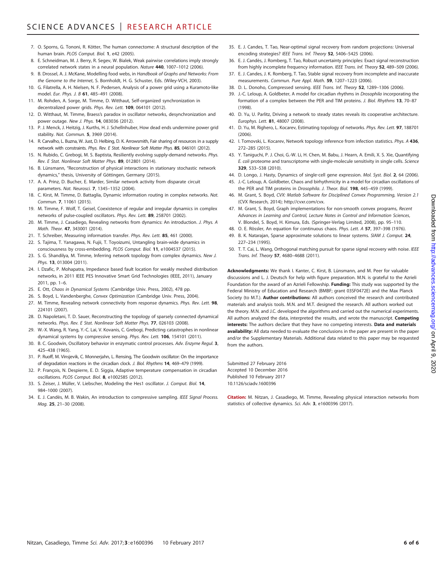- 7. O. Sporns, G. Tononi, R. Kötter, The human connectome: A structural description of the human brain. PLOS Comput. Biol. 1, e42 (2005).
- 8. E. Schneidman, M. J. Berry, R. Segev, W. Bialek, Weak pairwise correlations imply strongly correlated network states in a neural population. Nature 440, 1007–1012 (2006).
- 9. B. Drossel, A. J. McKane, Modelling food webs, in Handbook of Graphs and Networks: From the Genome to the Internet, S. Bornholdt, H. G. Schuster, Eds. (Wiley-VCH, 2003).
- 10. G. Filatrella, A. H. Nielsen, N. F. Pedersen, Analysis of a power grid using a Kuramoto-like model. Eur. Phys. J. B 61, 485–491 (2008).
- 11. M. Rohden, A. Sorge, M. Timme, D. Witthaut, Self-organized synchronization in decentralized power grids. Phys. Rev. Lett. 109, 064101 (2012).
- 12. D. Witthaut, M. Timme, Braess's paradox in oscillator networks, desynchronization and power outage. New J. Phys. **14**, 083036 (2012).
- 13. P. J. Menck, J. Heitzig, J. Kurths, H. J. Schellnhuber, How dead ends undermine power grid stability. Nat. Commun. 5, 3969 (2014).
- 14. R. Carvalho, L. Buzna, W. Just, D. Helbing, D. K. Arrowsmith, Fair sharing of resources in a supply network with constraints. Phys. Rev. E Stat. Nonlinear Soft Matter Phys. 85, 046101 (2012).
- 15. N. Rubido, C. Grebogi, M. S. Baptista, Resiliently evolving supply-demand networks. Phys. Rev. E Stat. Nonlinear Soft Matter Phys. 89, 012801 (2014).
- 16. B. Lünsmann, "Reconstruction of physical interactions in stationary stochastic network dynamics," thesis, University of Göttingen, Germany (2015).
- 17. A. A. Prinz, D. Bucher, E. Marder, Similar network activity from disparate circuit parameters. Nat. Neurosci. 7, 1345–1352 (2004).
- 18. C. Kirst, M. Timme, D. Battaglia, Dynamic information routing in complex networks. Nat. Commun. 7, 11061 (2015).
- 19. M. Timme, F. Wolf, T. Geisel, Coexistence of regular and irregular dynamics in complex networks of pulse-coupled oscillators. Phys. Rev. Lett. 89, 258701 (2002).
- 20. M. Timme, J. Casadiego, Revealing networks from dynamics: An introduction. J. Phys. A Math. Theor. 47, 343001 (2014).
- 21. T. Schreiber, Measuring information transfer. Phys. Rev. Lett. 85, 461 (2000).
- 22. S. Tajima, T. Yanagawa, N. Fujii, T. Toyoizumi, Untangling brain-wide dynamics in
- consciousness by cross-embedding. PLOS Comput. Biol. 11, e1004537 (2015). 23. S. G. Shandilya, M. Timme, Inferring network topology from complex dynamics. New J.
- Phys. 13, 013004 (2011). 24. I. Dzafic, P. Mohapatra, Impedance based fault location for weakly meshed distribution networks, in 2011 IEEE PES Innovative Smart Grid Technologies (IEEE, 2011), January 2011, pp. 1–6.
- 25. E. Ott, Chaos in Dynamical Systems (Cambridge Univ. Press, 2002), 478 pp.
- 26. S. Boyd, L. Vandenberghe, Convex Optimization (Cambridge Univ. Press, 2004).
- 27. M. Timme, Revealing network connectivity from response dynamics. Phys. Rev. Lett. 98, 224101 (2007).
- 28. D. Napoletani, T. D. Sauer, Reconstructing the topology of sparsely connected dynamical networks. Phys. Rev. E Stat. Nonlinear Soft Matter Phys. 77, 026103 (2008).
- 29. W.-X. Wang, R. Yang, Y.-C. Lai, V. Kovanis, C. Grebogi, Predicting catastrophes in nonlinear dynamical systems by compressive sensing. Phys. Rev. Lett. 106, 154101 (2011).
- 30. B. C. Goodwin, Oscillatory behavior in enzymatic control processes. Adv. Enzyme Regul. 3, 425–438 (1965).
- 31. P. Ruoff, M. Vinsjevik, C. Monnerjahn, L. Rensing, The Goodwin oscillator: On the importance of degradation reactions in the circadian clock. J. Biol. Rhythms 14, 469–479 (1999).
- 32. P. François, N. Despierre, E. D. Siggia, Adaptive temperature compensation in circadian oscillations. PLOS Comput. Biol. 8, e1002585 (2012).
- 33. S. Zeiser, J. Müller, V. Liebscher, Modeling the Hes1 oscillator. J. Comput. Biol. 14, 984–1000 (2007).
- 34. E. J. Candès, M. B. Wakin, An introduction to compressive sampling. IEEE Signal Process. Mag. 25, 21–30 (2008).
- 35. E. J. Candes, T. Tao, Near-optimal signal recovery from random projections: Universal encoding strategies? IEEE Trans. Inf. Theory 52, 5406-5425 (2006).
- 36. E. J. Candès, J. Romberg, T. Tao, Robust uncertainty principles: Exact signal reconstruction from highly incomplete frequency information. IEEE Trans. Inf. Theory 52, 489–509 (2006).
- 37. E. J. Candes, J. K. Romberg, T. Tao, Stable signal recovery from incomplete and inaccurate measurements. Commun. Pure Appl. Math. 59, 1207–1223 (2006).
- 38. D. L. Donoho, Compressed sensing. IEEE Trans. Inf. Theory 52, 1289–1306 (2006).
- 39. J.-C. Leloup, A. Goldbeter, A model for circadian rhythms in Drosophila incorporating the formation of a complex between the PER and TIM proteins. J. Biol. Rhythms 13, 70–87 (1998).
- 40. D. Yu, U. Parlitz, Driving a network to steady states reveals its cooperative architecture. Europhys. Lett. 81, 48007 (2008).
- 41. D. Yu, M. Righero, L. Kocarev, Estimating topology of networks. Phys. Rev. Lett. 97, 188701 (2006).
- 42. I. Tomovski, L. Kocarev, Network topology inference from infection statistics. Phys. A 436, 272–285 (2015).
- 43. Y. Taniguchi, P. J. Choi, G.-W. Li, H. Chen, M. Babu, J. Hearn, A. Emili, X. S. Xie, Quantifying E. coli proteome and transcriptome with single-molecule sensitivity in single cells. Science 329, 533–538 (2010).
- 44. D. Longo, J. Hasty, Dynamics of single-cell gene expression. Mol. Syst. Biol. 2, 64 (2006).
- 45. J.-C. Leloup, A. Goldbeter, Chaos and birhythmicity in a model for circadian oscillations of the PER and TIM proteins in Drosophila. J. Theor. Biol. 198. 445-459 (1999).
- 46. M. Grant, S. Boyd, CVX: Matlab Software for Disciplined Convex Programming, Version 2.1 (CVX Research, 2014); http://cvxr.com/cvx.
- 47. M. Grant, S. Boyd, Graph implementations for non-smooth convex programs, Recent Advances in Learning and Control, Lecture Notes in Control and Information Sciences, V. Blondel, S. Boyd, H. Kimura, Eds. (Springer-Verlag Limited, 2008), pp. 95–110.
- 48. O. E. Rössler, An equation for continuous chaos. Phys. Lett. A 57, 397–398 (1976).
- 49. B. K. Natarajan, Sparse approximate solutions to linear systems. SIAM J. Comput. 24, 227–234 (1995).
- 50. T. T. Cai, L. Wang, Orthogonal matching pursuit for sparse signal recovery with noise. IEEE Trans. Inf. Theory 57, 4680–4688 (2011).

Acknowledgments: We thank I. Kanter, C. Kirst, B. Lünsmann, and M. Peer for valuable discussions and L. J. Deutsch for help with figure preparation. M.N. is grateful to the Azrieli Foundation for the award of an Azrieli Fellowship. Funding: This study was supported by the Federal Ministry of Education and Research (BMBF; grant 03SF0472E) and the Max Planck Society (to M.T.). **Author contributions:** All authors conceived the research and contributed materials and analysis tools. M.N. and M.T. designed the research. All authors worked out the theory. M.N. and J.C. developed the algorithms and carried out the numerical experiments. All authors analyzed the data, interpreted the results, and wrote the manuscript. Competing interests: The authors declare that they have no competing interests. Data and materials availability: All data needed to evaluate the conclusions in the paper are present in the paper and/or the Supplementary Materials. Additional data related to this paper may be requested from the authors.

Submitted 27 February 2016 Accepted 10 December 2016 Published 10 February 2017 10.1126/sciadv.1600396

Citation: M. Nitzan, J. Casadiego, M. Timme, Revealing physical interaction networks from statistics of collective dynamics. Sci. Adv. 3, e1600396 (2017).